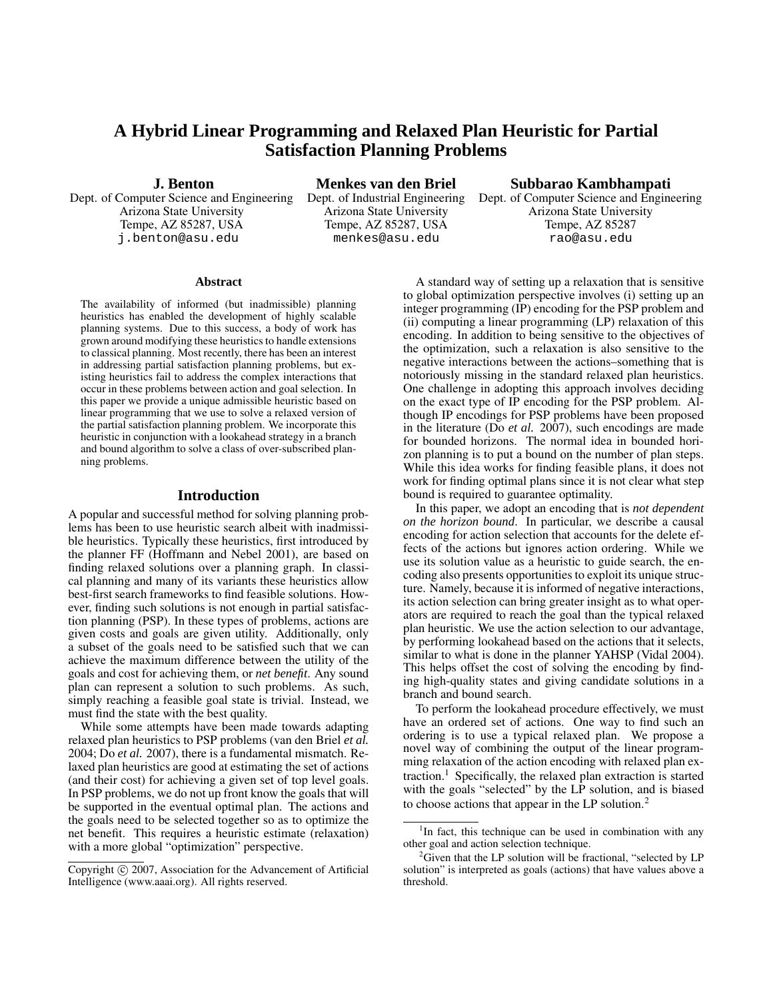# **A Hybrid Linear Programming and Relaxed Plan Heuristic for Partial Satisfaction Planning Problems**

**J. Benton**

Dept. of Computer Science and Engineering Arizona State University Tempe, AZ 85287, USA j.benton@asu.edu

**Menkes van den Briel** Dept. of Industrial Engineering Arizona State University Tempe, AZ 85287, USA menkes@asu.edu

**Subbarao Kambhampati**

Dept. of Computer Science and Engineering Arizona State University Tempe, AZ 85287 rao@asu.edu

#### **Abstract**

The availability of informed (but inadmissible) planning heuristics has enabled the development of highly scalable planning systems. Due to this success, a body of work has grown around modifying these heuristicsto handle extensions to classical planning. Most recently, there has been an interest in addressing partial satisfaction planning problems, but existing heuristics fail to address the complex interactions that occur in these problems between action and goal selection. In this paper we provide a unique admissible heuristic based on linear programming that we use to solve a relaxed version of the partial satisfaction planning problem. We incorporate this heuristic in conjunction with a lookahead strategy in a branch and bound algorithm to solve a class of over-subscribed planning problems.

## **Introduction**

A popular and successful method for solving planning problems has been to use heuristic search albeit with inadmissible heuristics. Typically these heuristics, first introduced by the planner FF (Hoffmann and Nebel 2001), are based on finding relaxed solutions over a planning graph. In classical planning and many of its variants these heuristics allow best-first search frameworks to find feasible solutions. However, finding such solutions is not enough in partial satisfaction planning (PSP). In these types of problems, actions are given costs and goals are given utility. Additionally, only a subset of the goals need to be satisfied such that we can achieve the maximum difference between the utility of the goals and cost for achieving them, or *net benefit*. Any sound plan can represent a solution to such problems. As such, simply reaching a feasible goal state is trivial. Instead, we must find the state with the best quality.

While some attempts have been made towards adapting relaxed plan heuristics to PSP problems (van den Briel *et al.* 2004; Do *et al.* 2007), there is a fundamental mismatch. Relaxed plan heuristics are good at estimating the set of actions (and their cost) for achieving a given set of top level goals. In PSP problems, we do not up front know the goals that will be supported in the eventual optimal plan. The actions and the goals need to be selected together so as to optimize the net benefit. This requires a heuristic estimate (relaxation) with a more global "optimization" perspective.

A standard way of setting up a relaxation that is sensitive to global optimization perspective involves (i) setting up an integer programming (IP) encoding for the PSP problem and (ii) computing a linear programming (LP) relaxation of this encoding. In addition to being sensitive to the objectives of the optimization, such a relaxation is also sensitive to the negative interactions between the actions–something that is notoriously missing in the standard relaxed plan heuristics. One challenge in adopting this approach involves deciding on the exact type of IP encoding for the PSP problem. Although IP encodings for PSP problems have been proposed in the literature (Do *et al.* 2007), such encodings are made for bounded horizons. The normal idea in bounded horizon planning is to put a bound on the number of plan steps. While this idea works for finding feasible plans, it does not work for finding optimal plans since it is not clear what step bound is required to guarantee optimality.

In this paper, we adopt an encoding that is *not dependent on the horizon bound*. In particular, we describe a causal encoding for action selection that accounts for the delete effects of the actions but ignores action ordering. While we use its solution value as a heuristic to guide search, the encoding also presents opportunities to exploit its unique structure. Namely, because it is informed of negative interactions, its action selection can bring greater insight as to what operators are required to reach the goal than the typical relaxed plan heuristic. We use the action selection to our advantage, by performing lookahead based on the actions that it selects, similar to what is done in the planner YAHSP (Vidal 2004). This helps offset the cost of solving the encoding by finding high-quality states and giving candidate solutions in a branch and bound search.

To perform the lookahead procedure effectively, we must have an ordered set of actions. One way to find such an ordering is to use a typical relaxed plan. We propose a novel way of combining the output of the linear programming relaxation of the action encoding with relaxed plan extraction.<sup>1</sup> Specifically, the relaxed plan extraction is started with the goals "selected" by the LP solution, and is biased to choose actions that appear in the LP solution.<sup>2</sup>

Copyright  $\odot$  2007, Association for the Advancement of Artificial Intelligence (www.aaai.org). All rights reserved.

<sup>&</sup>lt;sup>1</sup>In fact, this technique can be used in combination with any other goal and action selection technique.

 $2<sup>2</sup>$ Given that the LP solution will be fractional, "selected by LP solution" is interpreted as goals (actions) that have values above a threshold.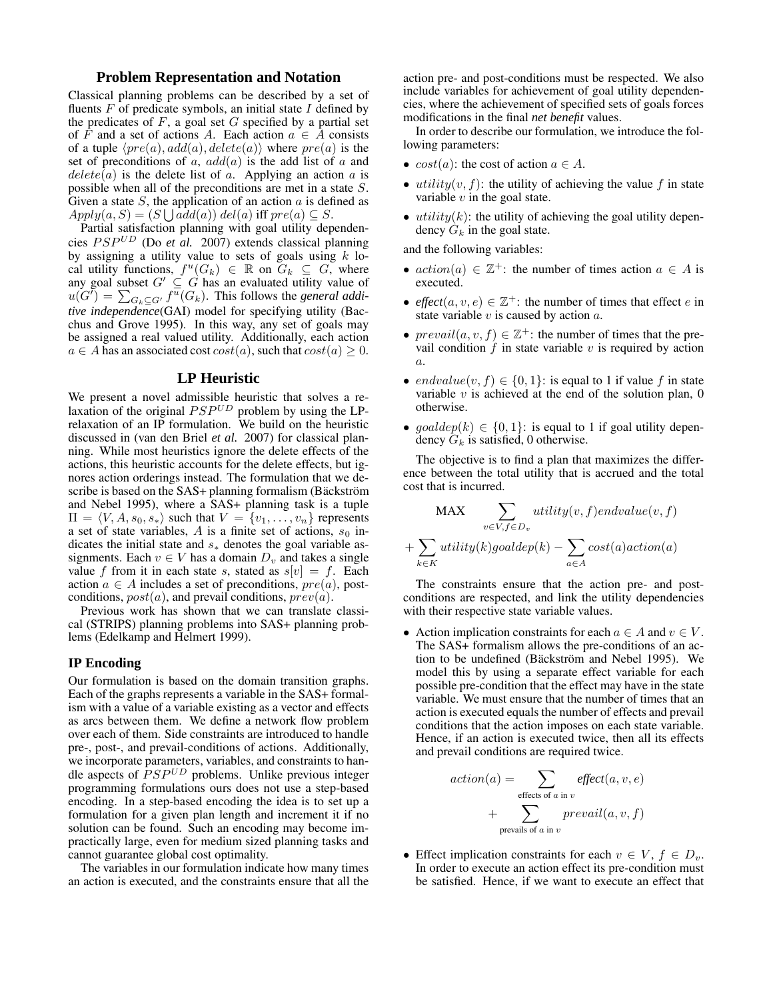## **Problem Representation and Notation**

Classical planning problems can be described by a set of fluents  $F$  of predicate symbols, an initial state  $I$  defined by the predicates of  $F$ , a goal set  $G$  specified by a partial set of F and a set of actions A. Each action  $a \in A$  consists of a tuple  $\langle pre(a), add(a), delete(a) \rangle$  where  $pre(a)$  is the set of preconditions of a,  $add(a)$  is the add list of a and  $delete(a)$  is the delete list of a. Applying an action a is possible when all of the preconditions are met in a state S. Given a state  $S$ , the application of an action  $\alpha$  is defined as  $Apply(a, S) = (S \bigcup add(a))\ del(a)$  iff  $pre(a) \subseteq S$ .

Partial satisfaction planning with goal utility dependencies PSP UD (Do *et al.* 2007) extends classical planning by assigning a utility value to sets of goals using  $k$  local utility functions,  $f^u(G_k) \in \mathbb{R}$  on  $G_k \subseteq G$ , where any goal subset  $G' \subseteq G$  has an evaluated utility value of  $u(G^{\check{}}) = \sum_{G_k \subseteq G'} f^{\overline{u}}(G_k)$ . This follows the *general additive independence*(GAI) model for specifying utility (Bacchus and Grove 1995). In this way, any set of goals may be assigned a real valued utility. Additionally, each action  $a \in A$  has an associated cost  $cost(a)$ , such that  $cost(a) \geq 0$ .

#### **LP Heuristic**

We present a novel admissible heuristic that solves a relaxation of the original  $PSP<sup>UD</sup>$  problem by using the LPrelaxation of an IP formulation. We build on the heuristic discussed in (van den Briel *et al.* 2007) for classical planning. While most heuristics ignore the delete effects of the actions, this heuristic accounts for the delete effects, but ignores action orderings instead. The formulation that we describe is based on the SAS+ planning formalism (Bäckström and Nebel 1995), where a SAS+ planning task is a tuple  $\Pi = \langle V, A, s_0, s_* \rangle$  such that  $V = \{v_1, \ldots, v_n\}$  represents a set of state variables, A is a finite set of actions,  $s_0$  indicates the initial state and  $s_*$  denotes the goal variable assignments. Each  $v \in V$  has a domain  $D_v$  and takes a single value f from it in each state s, stated as  $s[v] = f$ . Each action  $a \in A$  includes a set of preconditions,  $pre(a)$ , postconditions,  $post(a)$ , and prevail conditions,  $prev(a)$ .

Previous work has shown that we can translate classical (STRIPS) planning problems into SAS+ planning problems (Edelkamp and Helmert 1999).

## **IP Encoding**

Our formulation is based on the domain transition graphs. Each of the graphs represents a variable in the SAS+ formalism with a value of a variable existing as a vector and effects as arcs between them. We define a network flow problem over each of them. Side constraints are introduced to handle pre-, post-, and prevail-conditions of actions. Additionally, we incorporate parameters, variables, and constraints to handle aspects of  $PSP^{UD}$  problems. Unlike previous integer programming formulations ours does not use a step-based encoding. In a step-based encoding the idea is to set up a formulation for a given plan length and increment it if no solution can be found. Such an encoding may become impractically large, even for medium sized planning tasks and cannot guarantee global cost optimality.

The variables in our formulation indicate how many times an action is executed, and the constraints ensure that all the

action pre- and post-conditions must be respected. We also include variables for achievement of goal utility dependencies, where the achievement of specified sets of goals forces modifications in the final *net benefit* values.

In order to describe our formulation, we introduce the following parameters:

- $cost(a)$ : the cost of action  $a \in A$ .
- $utility(v, f)$ : the utility of achieving the value f in state variable  $v$  in the goal state.
- $utility(k)$ : the utility of achieving the goal utility dependency  $G_k$  in the goal state.

and the following variables:

- $action(a) \in \mathbb{Z}^+$ : the number of times action  $a \in A$  is executed.
- *effect*( $a, v, e$ )  $\in \mathbb{Z}^+$ : the number of times that effect  $e$  in state variable  $v$  is caused by action  $a$ .
- $\text{preval}(a, v, f) \in \mathbb{Z}^+$ : the number of times that the prevail condition  $f$  in state variable  $v$  is required by action a.
- endvalue $(v, f) \in \{0, 1\}$ : is equal to 1 if value f in state variable  $v$  is achieved at the end of the solution plan,  $0$ otherwise.
- goaldep(k)  $\in \{0,1\}$ : is equal to 1 if goal utility dependency  $G_k$  is satisfied, 0 otherwise.

The objective is to find a plan that maximizes the difference between the total utility that is accrued and the total cost that is incurred.

MAX 
$$
\sum_{v \in V, f \in D_v} utility(v, f)endvalue(v, f)
$$

$$
+ \sum_{k \in K} utility(k)goaldep(k) - \sum_{a \in A} cost(a)action(a)
$$

The constraints ensure that the action pre- and postconditions are respected, and link the utility dependencies with their respective state variable values.

• Action implication constraints for each  $a \in A$  and  $v \in V$ . The SAS+ formalism allows the pre-conditions of an action to be undefined (Bäckström and Nebel 1995). We model this by using a separate effect variable for each possible pre-condition that the effect may have in the state variable. We must ensure that the number of times that an action is executed equals the number of effects and prevail conditions that the action imposes on each state variable. Hence, if an action is executed twice, then all its effects and prevail conditions are required twice.

$$
action(a) = \sum_{\text{effects of } a \text{ in } v} effect(a, v, e)
$$

$$
+ \sum_{\text{prevals of } a \text{ in } v} circuit(a, v, f)
$$

• Effect implication constraints for each  $v \in V$ ,  $f \in D_v$ . In order to execute an action effect its pre-condition must be satisfied. Hence, if we want to execute an effect that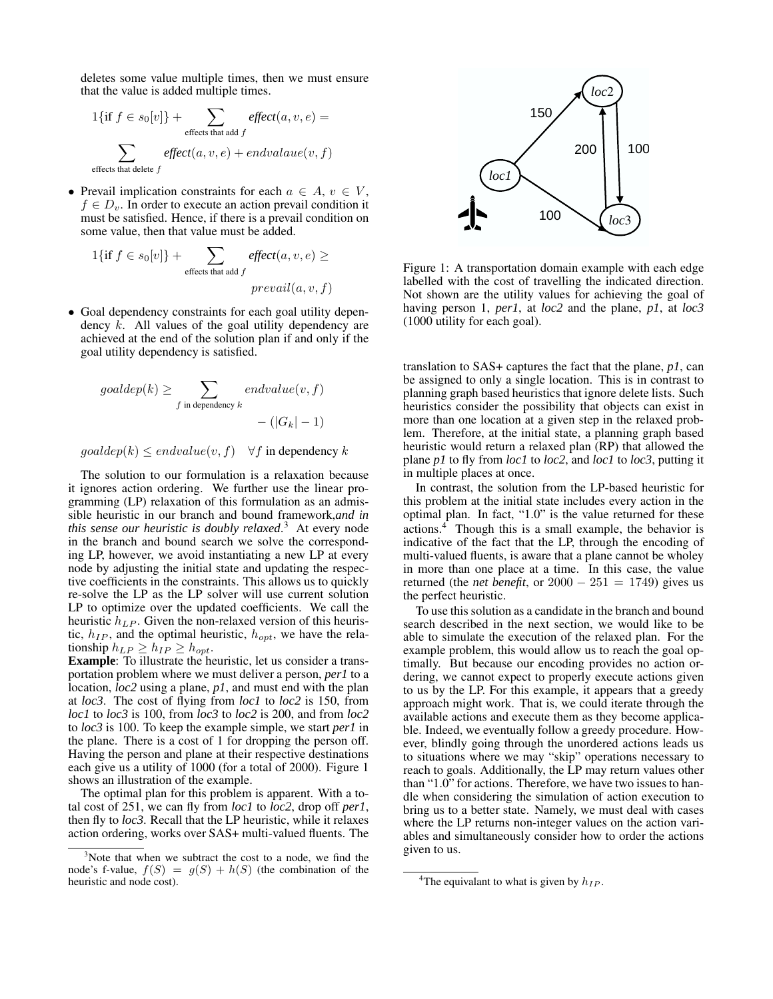deletes some value multiple times, then we must ensure that the value is added multiple times.

$$
1\{\text{if } f \in s_0[v]\} + \sum_{\text{effects that add } f} \text{effect}(a, v, e) =
$$

$$
\sum_{\text{effects that delete } f} \text{effect}(a, v, e) + \text{endvalue}(v, f)
$$

• Prevail implication constraints for each  $a \in A$ ,  $v \in V$ ,  $f \in D_v$ . In order to execute an action prevail condition it must be satisfied. Hence, if there is a prevail condition on some value, then that value must be added.

$$
1\{\text{if } f \in s_0[v]\} + \sum_{\text{effects that add } f} \text{effect}(a, v, e) \ge
$$
  
prevail(a, v, f)

• Goal dependency constraints for each goal utility dependency k. All values of the goal utility dependency are achieved at the end of the solution plan if and only if the goal utility dependency is satisfied.

$$
goaldep(k) \ge \sum_{f \text{ in dependency } k} endvalue(v, f)
$$
  
- (|G<sub>k</sub>| - 1)

 $\text{goaldep}(k) \leq \text{endvalue}(v, f)$   $\forall f$  in dependency k

The solution to our formulation is a relaxation because it ignores action ordering. We further use the linear programming (LP) relaxation of this formulation as an admissible heuristic in our branch and bound framework,*and in this sense our heuristic is doubly relaxed*. <sup>3</sup> At every node in the branch and bound search we solve the corresponding LP, however, we avoid instantiating a new LP at every node by adjusting the initial state and updating the respective coefficients in the constraints. This allows us to quickly re-solve the LP as the LP solver will use current solution LP to optimize over the updated coefficients. We call the heuristic  $h_{LP}$ . Given the non-relaxed version of this heuristic,  $h_{IP}$ , and the optimal heuristic,  $h_{opt}$ , we have the relationship  $h_{LP} \geq h_{IP} \geq h_{opt}$ .

**Example**: To illustrate the heuristic, let us consider a transportation problem where we must deliver a person, *per1* to a location, *loc2* using a plane, *p1*, and must end with the plan at *loc3*. The cost of flying from *loc1* to *loc2* is 150, from *loc1* to *loc3* is 100, from *loc3* to *loc2* is 200, and from *loc2* to *loc3* is 100. To keep the example simple, we start *per1* in the plane. There is a cost of 1 for dropping the person off. Having the person and plane at their respective destinations each give us a utility of 1000 (for a total of 2000). Figure 1 shows an illustration of the example.

The optimal plan for this problem is apparent. With a total cost of 251, we can fly from *loc1* to *loc2*, drop off *per1*, then fly to *loc3*. Recall that the LP heuristic, while it relaxes action ordering, works over SAS+ multi-valued fluents. The



Figure 1: A transportation domain example with each edge labelled with the cost of travelling the indicated direction. Not shown are the utility values for achieving the goal of having person 1, *per1*, at *loc2* and the plane, *p1*, at *loc3* (1000 utility for each goal).

translation to SAS+ captures the fact that the plane, *p1*, can be assigned to only a single location. This is in contrast to planning graph based heuristics that ignore delete lists. Such heuristics consider the possibility that objects can exist in more than one location at a given step in the relaxed problem. Therefore, at the initial state, a planning graph based heuristic would return a relaxed plan (RP) that allowed the plane *p1* to fly from *loc1* to *loc2*, and *loc1* to *loc3*, putting it in multiple places at once.

In contrast, the solution from the LP-based heuristic for this problem at the initial state includes every action in the optimal plan. In fact, "1.0" is the value returned for these actions.<sup>4</sup> Though this is a small example, the behavior is indicative of the fact that the LP, through the encoding of multi-valued fluents, is aware that a plane cannot be wholey in more than one place at a time. In this case, the value returned (the *net benefit*, or  $2000 - 251 = 1749$ ) gives us the perfect heuristic.

To use thissolution as a candidate in the branch and bound search described in the next section, we would like to be able to simulate the execution of the relaxed plan. For the example problem, this would allow us to reach the goal optimally. But because our encoding provides no action ordering, we cannot expect to properly execute actions given to us by the LP. For this example, it appears that a greedy approach might work. That is, we could iterate through the available actions and execute them as they become applicable. Indeed, we eventually follow a greedy procedure. However, blindly going through the unordered actions leads us to situations where we may "skip" operations necessary to reach to goals. Additionally, the LP may return values other than "1.0" for actions. Therefore, we have two issues to handle when considering the simulation of action execution to bring us to a better state. Namely, we must deal with cases where the LP returns non-integer values on the action variables and simultaneously consider how to order the actions given to us.

<sup>&</sup>lt;sup>3</sup>Note that when we subtract the cost to a node, we find the node's f-value,  $f(S) = g(S) + h(S)$  (the combination of the heuristic and node cost).

<sup>&</sup>lt;sup>4</sup>The equivalant to what is given by  $h_{IP}$ .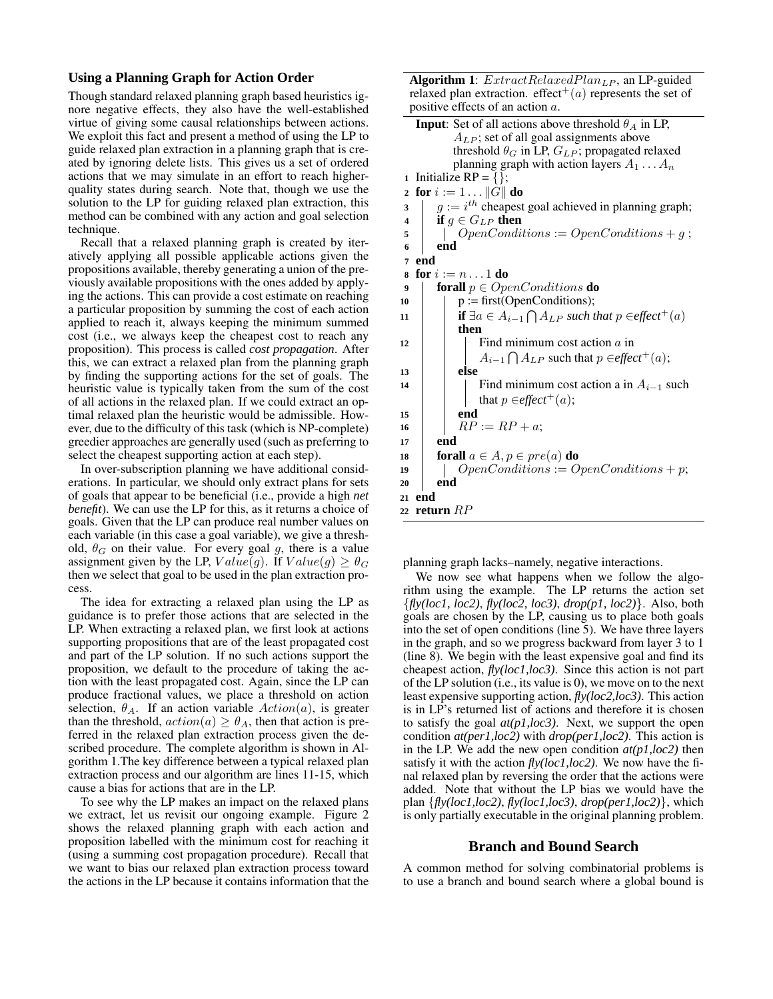# **Using a Planning Graph for Action Order**

Though standard relaxed planning graph based heuristics ignore negative effects, they also have the well-established virtue of giving some causal relationships between actions. We exploit this fact and present a method of using the LP to guide relaxed plan extraction in a planning graph that is created by ignoring delete lists. This gives us a set of ordered actions that we may simulate in an effort to reach higherquality states during search. Note that, though we use the solution to the LP for guiding relaxed plan extraction, this method can be combined with any action and goal selection technique.

Recall that a relaxed planning graph is created by iteratively applying all possible applicable actions given the propositions available, thereby generating a union of the previously available propositions with the ones added by applying the actions. This can provide a cost estimate on reaching a particular proposition by summing the cost of each action applied to reach it, always keeping the minimum summed cost (i.e., we always keep the cheapest cost to reach any proposition). This process is called *cost propagation*. After this, we can extract a relaxed plan from the planning graph by finding the supporting actions for the set of goals. The heuristic value is typically taken from the sum of the cost of all actions in the relaxed plan. If we could extract an optimal relaxed plan the heuristic would be admissible. However, due to the difficulty of this task (which is NP-complete) greedier approaches are generally used (such as preferring to select the cheapest supporting action at each step).

In over-subscription planning we have additional considerations. In particular, we should only extract plans for sets of goals that appear to be beneficial (i.e., provide a high *net benefit*). We can use the LP for this, as it returns a choice of goals. Given that the LP can produce real number values on each variable (in this case a goal variable), we give a threshold,  $\theta_G$  on their value. For every goal g, there is a value assignment given by the LP,  $Value(g)$ . If  $Value(g) \geq \theta_G$ then we select that goal to be used in the plan extraction process.

The idea for extracting a relaxed plan using the LP as guidance is to prefer those actions that are selected in the LP. When extracting a relaxed plan, we first look at actions supporting propositions that are of the least propagated cost and part of the LP solution. If no such actions support the proposition, we default to the procedure of taking the action with the least propagated cost. Again, since the LP can produce fractional values, we place a threshold on action selection,  $\theta_A$ . If an action variable  $Action(a)$ , is greater than the threshold,  $action(a) \geq \theta_A$ , then that action is preferred in the relaxed plan extraction process given the described procedure. The complete algorithm is shown in Algorithm 1.The key difference between a typical relaxed plan extraction process and our algorithm are lines 11-15, which cause a bias for actions that are in the LP.

To see why the LP makes an impact on the relaxed plans we extract, let us revisit our ongoing example. Figure 2 shows the relaxed planning graph with each action and proposition labelled with the minimum cost for reaching it (using a summing cost propagation procedure). Recall that we want to bias our relaxed plan extraction process toward the actions in the LP because it contains information that the **Algorithm 1**:  $ExtractRelaxedPlan<sub>LP</sub>$ , an LP-guided relaxed plan extraction. effect<sup>+</sup>(a) represents the set of positive effects of an action a.

| <b>Input:</b> Set of all actions above threshold $\theta_A$ in LP,                       |
|------------------------------------------------------------------------------------------|
| $A_{LP}$ ; set of all goal assignments above                                             |
| threshold $\theta_G$ in LP, $G_{LP}$ ; propagated relaxed                                |
| planning graph with action layers $A_1 \dots A_n$                                        |
| Initialize $RP = \{\};$<br>$\mathbf{1}$                                                  |
| for $i := 1 \dots   G  $ do<br>$\overline{2}$                                            |
| $q := i^{th}$ cheapest goal achieved in planning graph;<br>$\overline{\mathbf{3}}$       |
| if $g \in G_{LP}$ then<br>$\overline{\mathbf{4}}$                                        |
| $OpenConditions := OpenConditions + g;$<br>5                                             |
| end<br>6                                                                                 |
| end<br>$\overline{7}$                                                                    |
| for $i := n \dots 1$ do<br>8                                                             |
| <b>forall</b> $p \in OpenConditions$ <b>do</b><br>9                                      |
| $p := first(OpenConditions);$<br>10                                                      |
| <b>if</b> $\exists a \in A_{i-1} \cap A_{LP}$ such that $p \in \text{effect}^+(a)$<br>11 |
| then                                                                                     |
| Find minimum cost action $\alpha$ in<br>12                                               |
| $A_{i-1} \bigcap A_{LP}$ such that $p \in \text{effect}^+(a)$ ;                          |
| else<br>13                                                                               |
| Find minimum cost action a in $A_{i-1}$ such<br>14                                       |
| that $p \in \text{effect}^+(a)$ ;                                                        |
| end<br>15                                                                                |
| $RP := RP + a;$<br>16                                                                    |
| end<br>17                                                                                |
| <b>forall</b> $a \in A$ , $p \in pre(a)$ <b>do</b><br>18                                 |
| $OpenConditions := OpenConditions + p;$<br>19                                            |
| end<br>20                                                                                |
| end<br>21                                                                                |
| 22 return $RP$                                                                           |
|                                                                                          |

planning graph lacks–namely, negative interactions.

We now see what happens when we follow the algorithm using the example. The LP returns the action set {*fly(loc1, loc2)*, *fly(loc2, loc3)*, *drop(p1, loc2)*}. Also, both goals are chosen by the LP, causing us to place both goals into the set of open conditions (line 5). We have three layers in the graph, and so we progress backward from layer 3 to 1 (line 8). We begin with the least expensive goal and find its cheapest action, *fly(loc1,loc3)*. Since this action is not part of the LP solution (i.e., its value is 0), we move on to the next least expensive supporting action, *fly(loc2,loc3)*. This action is in LP's returned list of actions and therefore it is chosen to satisfy the goal *at(p1,loc3)*. Next, we support the open condition *at(per1,loc2)* with *drop(per1,loc2)*. This action is in the LP. We add the new open condition *at(p1,loc2)* then satisfy it with the action *fly(loc1,loc2)*. We now have the final relaxed plan by reversing the order that the actions were added. Note that without the LP bias we would have the plan {*fly(loc1,loc2)*, *fly(loc1,loc3)*, *drop(per1,loc2)*}, which is only partially executable in the original planning problem.

# **Branch and Bound Search**

A common method for solving combinatorial problems is to use a branch and bound search where a global bound is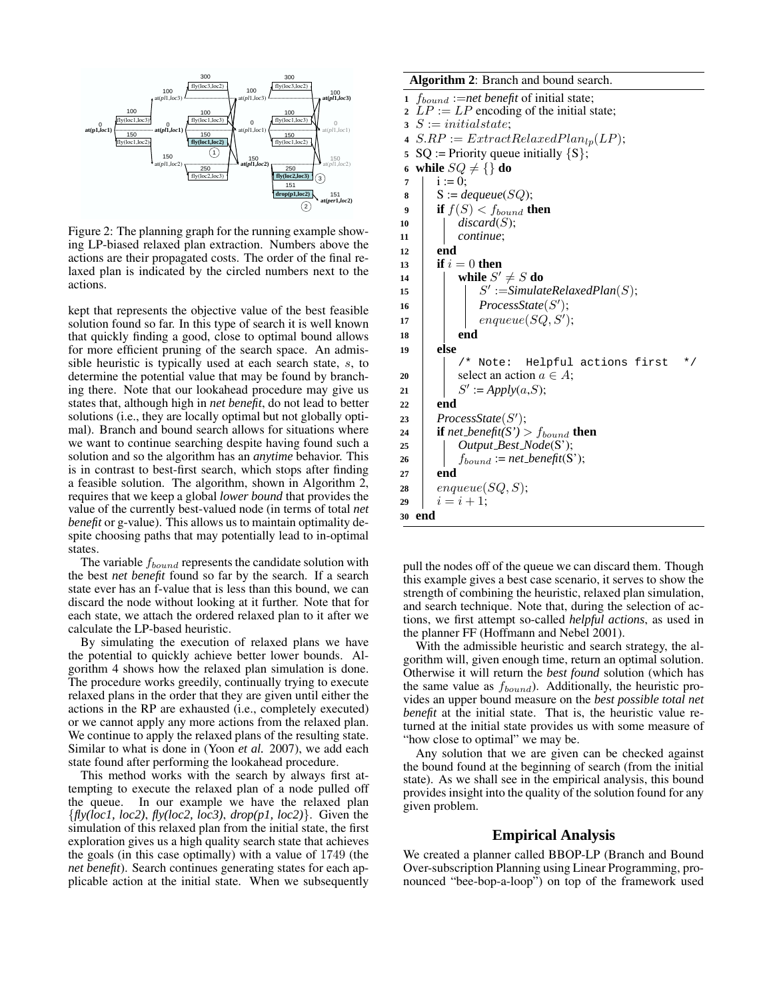

Figure 2: The planning graph for the running example showing LP-biased relaxed plan extraction. Numbers above the actions are their propagated costs. The order of the final relaxed plan is indicated by the circled numbers next to the actions.

kept that represents the objective value of the best feasible solution found so far. In this type of search it is well known that quickly finding a good, close to optimal bound allows for more efficient pruning of the search space. An admissible heuristic is typically used at each search state, s, to determine the potential value that may be found by branching there. Note that our lookahead procedure may give us states that, although high in *net benefit*, do not lead to better solutions (i.e., they are locally optimal but not globally optimal). Branch and bound search allows for situations where we want to continue searching despite having found such a solution and so the algorithm has an *anytime* behavior. This is in contrast to best-first search, which stops after finding a feasible solution. The algorithm, shown in Algorithm 2, requires that we keep a global *lower bound* that provides the value of the currently best-valued node (in terms of total *net benefit* or g-value). This allows us to maintain optimality despite choosing paths that may potentially lead to in-optimal states.

The variable  $f_{bound}$  represents the candidate solution with the best *net benefit* found so far by the search. If a search state ever has an f-value that is less than this bound, we can discard the node without looking at it further. Note that for each state, we attach the ordered relaxed plan to it after we calculate the LP-based heuristic.

By simulating the execution of relaxed plans we have the potential to quickly achieve better lower bounds. Algorithm 4 shows how the relaxed plan simulation is done. The procedure works greedily, continually trying to execute relaxed plans in the order that they are given until either the actions in the RP are exhausted (i.e., completely executed) or we cannot apply any more actions from the relaxed plan. We continue to apply the relaxed plans of the resulting state. Similar to what is done in (Yoon *et al.* 2007), we add each state found after performing the lookahead procedure.

This method works with the search by always first attempting to execute the relaxed plan of a node pulled off the queue. In our example we have the relaxed plan {*fly(loc1, loc2)*, *fly(loc2, loc3)*, *drop(p1, loc2)*}. Given the simulation of this relaxed plan from the initial state, the first exploration gives us a high quality search state that achieves the goals (in this case optimally) with a value of 1749 (the *net benefit*). Search continues generating states for each applicable action at the initial state. When we subsequently

```
Algorithm 2: Branch and bound search.
1 f_{bound} :=net benefit of initial state;
2 LP := LP encoding of the initial state;
3 S := initial state;
4 S.RP := ExtractRelaxedPlan<sub>lp</sub>(LP);5 SQ := Priority queue initially \{S\};
6 while SQ \neq \{\} do
7 i := 0;8 S := \text{dequeue}(SQ);9 if f(S) < f_{bound} then
10 discard(S);
11 continue;
12 end
13 if i = 0 then
14 c l while S' \neq S do
15 | | S' := SimulateRelaxedPlan(S);16 | ProcessState(S');
17 | enqueue(SQ, S');
```
**18 end 19 else**  $/*$  Note: Helpful actions first **20** select an action  $a \in A$ ; 21 |  $S' := Apply(a, S);$ **<sup>22</sup> end** 23 ProcessState(S'); 24 **if** *net\_benefit(S')* >  $f_{bound}$  **then**<br>25 *Output\_Best\_Node(S')*; **<sup>25</sup>** *Output Best Node*(S'); **26**  $\qquad \qquad$   $f_{bound} := net\, benefit(S');$ **<sup>27</sup> end**  $28$  enqueue(SQ, S); **29**  $i = i + 1;$ **<sup>30</sup> end**

pull the nodes off of the queue we can discard them. Though this example gives a best case scenario, it serves to show the strength of combining the heuristic, relaxed plan simulation, and search technique. Note that, during the selection of actions, we first attempt so-called *helpful actions*, as used in the planner FF (Hoffmann and Nebel 2001).

With the admissible heuristic and search strategy, the algorithm will, given enough time, return an optimal solution. Otherwise it will return the *best found* solution (which has the same value as  $f_{bound}$ ). Additionally, the heuristic provides an upper bound measure on the *best possible total net benefit* at the initial state. That is, the heuristic value returned at the initial state provides us with some measure of "how close to optimal" we may be.

Any solution that we are given can be checked against the bound found at the beginning of search (from the initial state). As we shall see in the empirical analysis, this bound provides insight into the quality of the solution found for any given problem.

# **Empirical Analysis**

We created a planner called BBOP-LP (Branch and Bound Over-subscription Planning using Linear Programming, pronounced "bee-bop-a-loop") on top of the framework used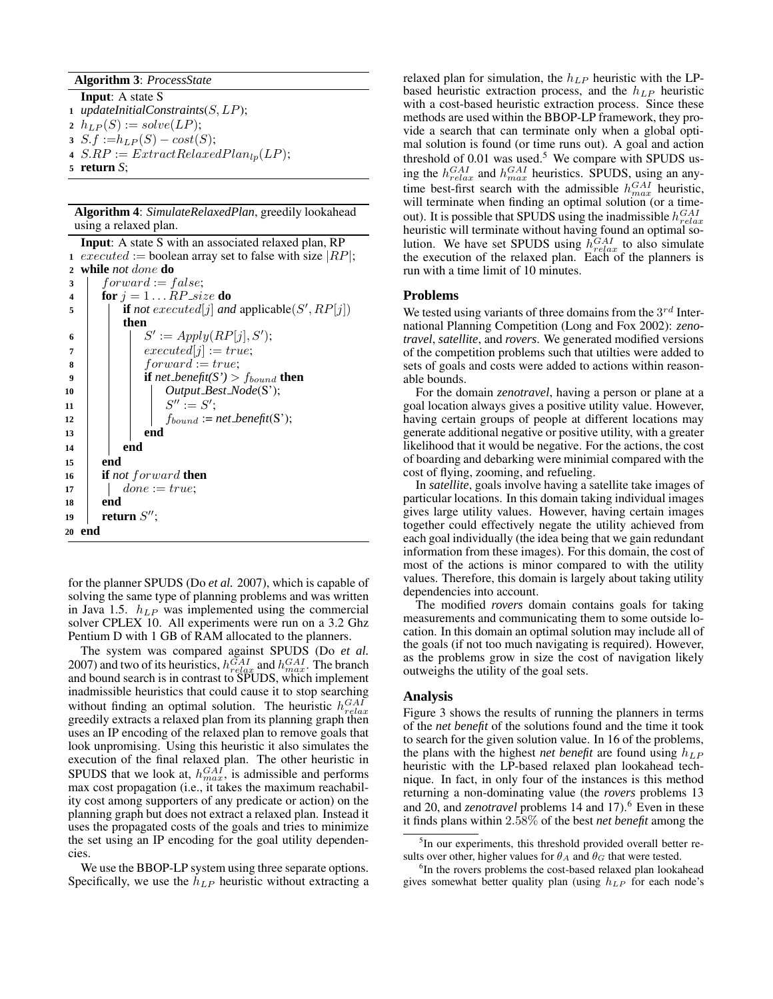#### **Algorithm 3**: *ProcessState*

- **Input**: A state S **<sup>1</sup>** *updateInitialConstraints*(S,LP);
- 2  $h_{LP}(S) := solve(LP);$
- **3**  $S.f := h_{LP}(S) cost(S);$
- **4**  $S.RP := ExtractRelaxedPlan<sub>lp</sub>(LP);$
- **<sup>5</sup> return** *S*;

**Algorithm 4**: *SimulateRelaxedPlan*, greedily lookahead using a relaxed plan.

**Input**: A state S with an associated relaxed plan, RP **1** executed := boolean array set to false with size  $|RP|$ ; **<sup>2</sup> while** *not* done **do**  $3$  forward := false; **4 for**  $j = 1...RP$  *size* **do if** *not* executed[j] and applicable(S', RP[j]) **then** 6 | |  $S' := Apply(RP[j], S');$ **7**  $\vert$  **executed**[j] := true; **8** forward := true; **9 if** *net benefit(S')* >  $f_{bound}$  **then <sup>10</sup>** *Output Best Node*(S');  $11$   $\begin{array}{|c|c|c|c|c|} \hline \end{array}$   $S^{\prime\prime} := S^{\prime};$ **<sup>12</sup>** fbound := *net benefit*(S'); **<sup>13</sup> end <sup>14</sup> end <sup>15</sup> end <sup>16</sup> if** *not* forward **then 17** done := true; **<sup>18</sup> end** 19 **return**  $S''$ ; **<sup>20</sup> end**

for the planner SPUDS (Do *et al.* 2007), which is capable of solving the same type of planning problems and was written in Java 1.5.  $h_{LP}$  was implemented using the commercial solver CPLEX 10. All experiments were run on a 3.2 Ghz Pentium D with 1 GB of RAM allocated to the planners.

The system was compared against SPUDS (Do *et al.* 2007) and two of its heuristics,  $h_{relax}^{GAI}$  and  $h_{max}^{GAI}$ . The branch and bound search is in contrast to SPUDS, which implement inadmissible heuristics that could cause it to stop searching without finding an optimal solution. The heuristic  $h_{relax}^{GAI}$ greedily extracts a relaxed plan from its planning graph then uses an IP encoding of the relaxed plan to remove goals that look unpromising. Using this heuristic it also simulates the execution of the final relaxed plan. The other heuristic in SPUDS that we look at,  $h_{max}^{GAI}$ , is admissible and performs max cost propagation (i.e., it takes the maximum reachability cost among supporters of any predicate or action) on the planning graph but does not extract a relaxed plan. Instead it uses the propagated costs of the goals and tries to minimize the set using an IP encoding for the goal utility dependencies.

We use the BBOP-LP system using three separate options. Specifically, we use the  $h_{LP}$  heuristic without extracting a relaxed plan for simulation, the  $h_{LP}$  heuristic with the LPbased heuristic extraction process, and the  $h_{LP}$  heuristic with a cost-based heuristic extraction process. Since these methods are used within the BBOP-LP framework, they provide a search that can terminate only when a global optimal solution is found (or time runs out). A goal and action threshold of  $0.01$  was used.<sup>5</sup> We compare with SPUDS using the  $h_{relax}^{GAI}$  and  $h_{max}^{GAI}$  heuristics. SPUDS, using an anytime best-first search with the admissible  $h_{max}^{GAI}$  heuristic, will terminate when finding an optimal solution (or a timeout). It is possible that SPUDS using the inadmissible  $h_{relax}^{GAI}$ heuristic will terminate without having found an optimal solution. We have set SPUDS using  $h_{relax}^{GAI}$  to also simulate the execution of the relaxed plan. Each of the planners is run with a time limit of 10 minutes.

#### **Problems**

We tested using variants of three domains from the  $3^{rd}$  International Planning Competition (Long and Fox 2002): *zenotravel*, *satellite*, and *rovers*. We generated modified versions of the competition problems such that utilties were added to sets of goals and costs were added to actions within reasonable bounds.

For the domain *zenotravel*, having a person or plane at a goal location always gives a positive utility value. However, having certain groups of people at different locations may generate additional negative or positive utility, with a greater likelihood that it would be negative. For the actions, the cost of boarding and debarking were minimial compared with the cost of flying, zooming, and refueling.

In *satellite*, goals involve having a satellite take images of particular locations. In this domain taking individual images gives large utility values. However, having certain images together could effectively negate the utility achieved from each goal individually (the idea being that we gain redundant information from these images). For this domain, the cost of most of the actions is minor compared to with the utility values. Therefore, this domain is largely about taking utility dependencies into account.

The modified *rovers* domain contains goals for taking measurements and communicating them to some outside location. In this domain an optimal solution may include all of the goals (if not too much navigating is required). However, as the problems grow in size the cost of navigation likely outweighs the utility of the goal sets.

#### **Analysis**

Figure 3 shows the results of running the planners in terms of the *net benefit* of the solutions found and the time it took to search for the given solution value. In 16 of the problems, the plans with the highest *net benefit* are found using  $h_{LP}$ heuristic with the LP-based relaxed plan lookahead technique. In fact, in only four of the instances is this method returning a non-dominating value (the *rovers* problems 13 and 20, and *zenotravel* problems 14 and 17).<sup>6</sup> Even in these it finds plans within 2.58% of the best *net benefit* among the

<sup>&</sup>lt;sup>5</sup>In our experiments, this threshold provided overall better results over other, higher values for  $\theta_A$  and  $\theta_G$  that were tested.

<sup>&</sup>lt;sup>6</sup>In the rovers problems the cost-based relaxed plan lookahead gives somewhat better quality plan (using  $h_{LP}$  for each node's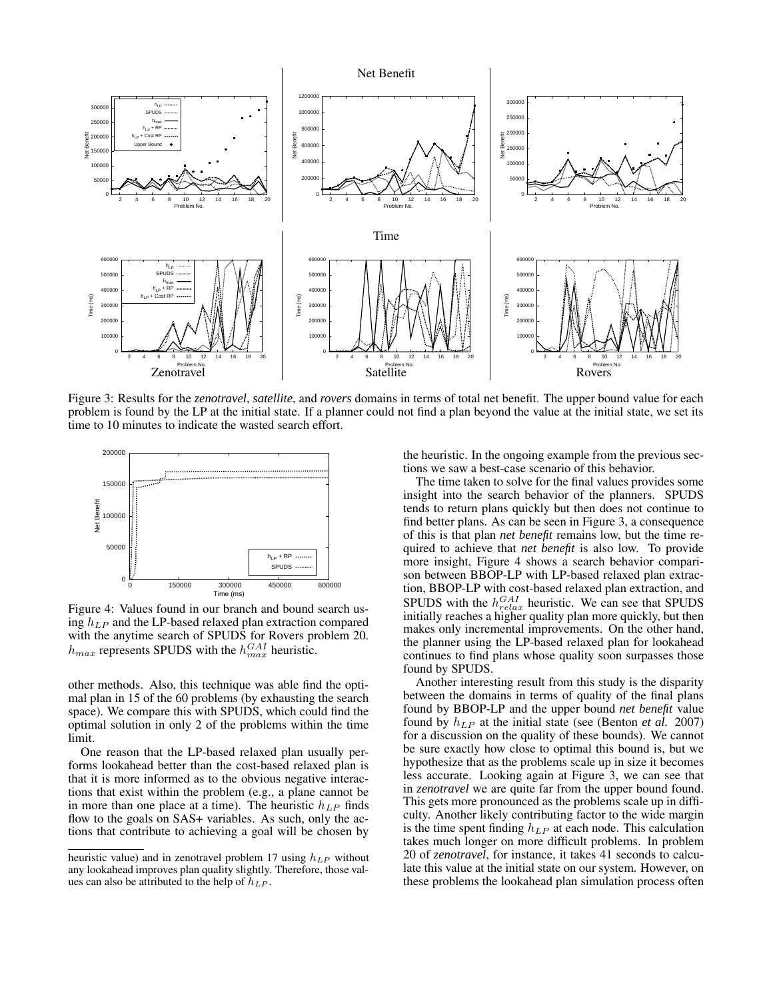

Figure 3: Results for the *zenotravel*, *satellite*, and *rovers* domains in terms of total net benefit. The upper bound value for each problem is found by the LP at the initial state. If a planner could not find a plan beyond the value at the initial state, we set its time to 10 minutes to indicate the wasted search effort.



Figure 4: Values found in our branch and bound search using  $h_{LP}$  and the LP-based relaxed plan extraction compared with the anytime search of SPUDS for Rovers problem 20.  $h_{max}$  represents SPUDS with the  $h_{max}^{GAI}$  heuristic.

other methods. Also, this technique was able find the optimal plan in 15 of the 60 problems (by exhausting the search space). We compare this with SPUDS, which could find the optimal solution in only 2 of the problems within the time limit.

One reason that the LP-based relaxed plan usually performs lookahead better than the cost-based relaxed plan is that it is more informed as to the obvious negative interactions that exist within the problem (e.g., a plane cannot be in more than one place at a time). The heuristic  $h_{LP}$  finds flow to the goals on SAS+ variables. As such, only the actions that contribute to achieving a goal will be chosen by the heuristic. In the ongoing example from the previous sections we saw a best-case scenario of this behavior.

The time taken to solve for the final values provides some insight into the search behavior of the planners. SPUDS tends to return plans quickly but then does not continue to find better plans. As can be seen in Figure 3, a consequence of this is that plan *net benefit* remains low, but the time required to achieve that *net benefit* is also low. To provide more insight, Figure 4 shows a search behavior comparison between BBOP-LP with LP-based relaxed plan extraction, BBOP-LP with cost-based relaxed plan extraction, and SPUDS with the  $h_{relax}^{GAI}$  heuristic. We can see that SPUDS initially reaches a higher quality plan more quickly, but then makes only incremental improvements. On the other hand, the planner using the LP-based relaxed plan for lookahead continues to find plans whose quality soon surpasses those found by SPUDS.

Another interesting result from this study is the disparity between the domains in terms of quality of the final plans found by BBOP-LP and the upper bound *net benefit* value found by  $h_{LP}$  at the initial state (see (Benton *et al.* 2007) for a discussion on the quality of these bounds). We cannot be sure exactly how close to optimal this bound is, but we hypothesize that as the problems scale up in size it becomes less accurate. Looking again at Figure 3, we can see that in *zenotravel* we are quite far from the upper bound found. This gets more pronounced as the problems scale up in difficulty. Another likely contributing factor to the wide margin is the time spent finding  $h_{LP}$  at each node. This calculation takes much longer on more difficult problems. In problem 20 of *zenotravel*, for instance, it takes 41 seconds to calculate this value at the initial state on our system. However, on these problems the lookahead plan simulation process often

heuristic value) and in zenotravel problem 17 using  $h_{LP}$  without any lookahead improves plan quality slightly. Therefore, those values can also be attributed to the help of  $h_{LP}$ .